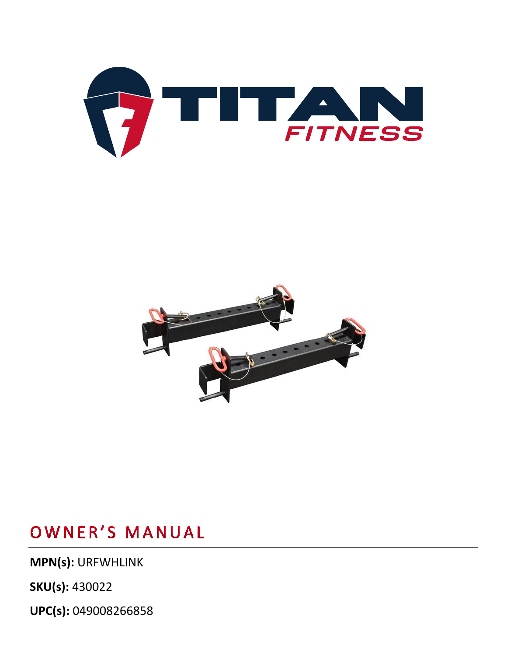**UPC(s):** 049008266858

**MPN(s):** URFWHLINK

**SKU(s):** 430022



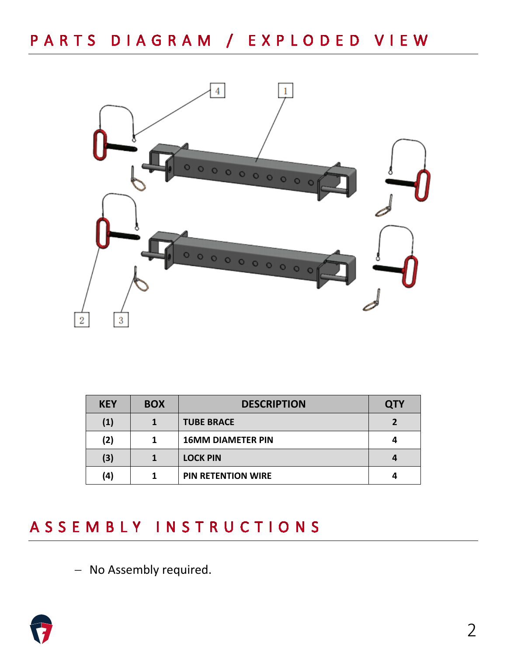

| <b>KEY</b> | <b>BOX</b> | <b>DESCRIPTION</b>        | <b>QTY</b> |
|------------|------------|---------------------------|------------|
| (1)        |            | <b>TUBE BRACE</b>         |            |
| (2)        |            | <b>16MM DIAMETER PIN</b>  |            |
| (3)        |            | <b>LOCK PIN</b>           |            |
| (4)        |            | <b>PIN RETENTION WIRE</b> |            |

## ASSEMBLY INSTRUCTIONS

− No Assembly required.